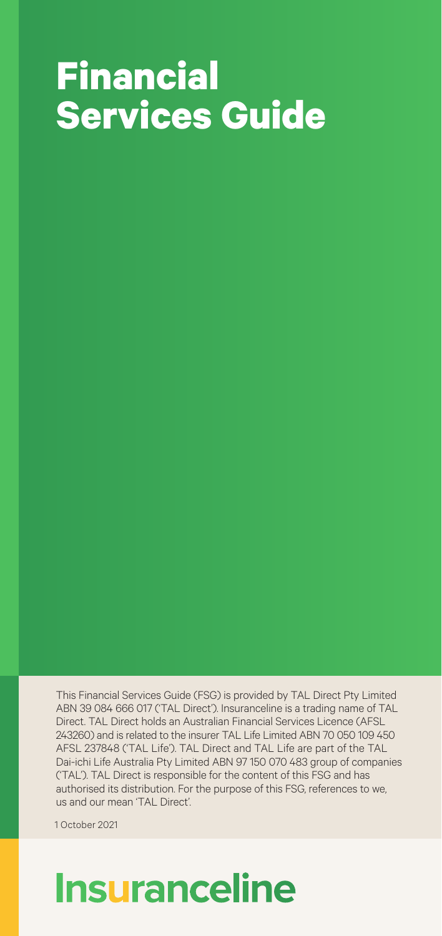# **Financial Services Guide**

This Financial Services Guide (FSG) is provided by TAL Direct Pty Limited ABN 39 084 666 017 ('TAL Direct'). Insuranceline is a trading name of TAL Direct. TAL Direct holds an Australian Financial Services Licence (AFSL 243260) and is related to the insurer TAL Life Limited ABN 70 050 109 450 AFSL 237848 ('TAL Life'). TAL Direct and TAL Life are part of the TAL Dai-ichi Life Australia Pty Limited ABN 97 150 070 483 group of companies ('TAL'). TAL Direct is responsible for the content of this FSG and has authorised its distribution. For the purpose of this FSG, references to we, us and our mean 'TAL Direct'.

1 October 2021

## **Insuranceline**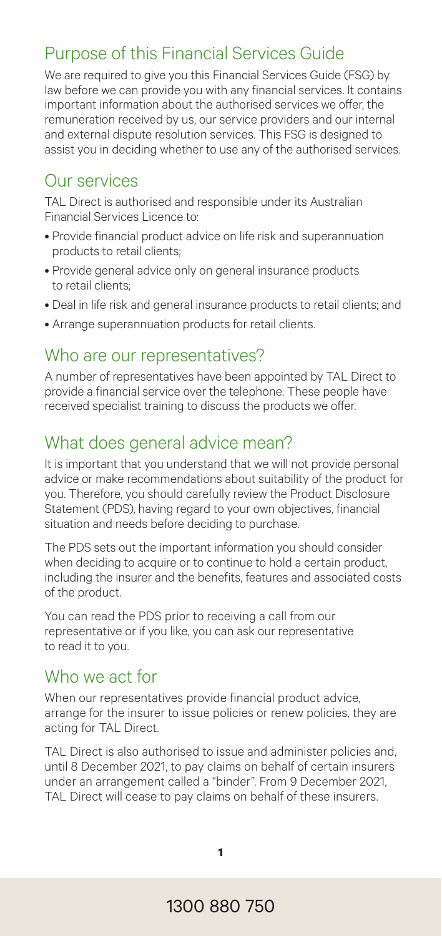## Purpose of this Financial Services Guide

We are required to give you this Financial Services Guide (FSG) by law before we can provide you with any financial services. It contains important information about the authorised services we offer, the remuneration received by us, our service providers and our internal and external dispute resolution services. This FSG is designed to assist you in deciding whether to use any of the authorised services.

## Our services

TAL Direct is authorised and responsible under its Australian Financial Services Licence to:

- Provide financial product advice on life risk and superannuation products to retail clients;
- Provide general advice only on general insurance products to retail clients;
- Deal in life risk and general insurance products to retail clients; and
- Arrange superannuation products for retail clients.

### Who are our representatives?

A number of representatives have been appointed by TAL Direct to provide a financial service over the telephone. These people have received specialist training to discuss the products we offer.

## What does general advice mean?

It is important that you understand that we will not provide personal advice or make recommendations about suitability of the product for you. Therefore, you should carefully review the Product Disclosure Statement (PDS), having regard to your own objectives, financial situation and needs before deciding to purchase.

The PDS sets out the important information you should consider when deciding to acquire or to continue to hold a certain product, including the insurer and the benefits, features and associated costs of the product.

You can read the PDS prior to receiving a call from our representative or if you like, you can ask our representative to read it to you.

## Who we act for

When our representatives provide financial product advice. arrange for the insurer to issue policies or renew policies, they are acting for TAL Direct.

TAL Direct is also authorised to issue and administer policies and, until 8 December 2021, to pay claims on behalf of certain insurers under an arrangement called a "binder". From 9 December 2021, TAL Direct will cease to pay claims on behalf of these insurers.

**1**

## 1300 880 750 1300 880 750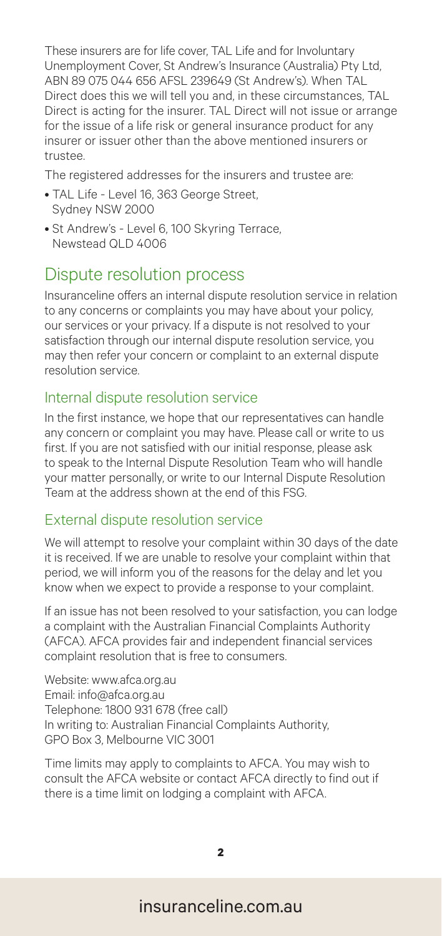These insurers are for life cover, TAL Life and for Involuntary Unemployment Cover, St Andrew's Insurance (Australia) Pty Ltd, ABN 89 075 044 656 AFSL 239649 (St Andrew's). When TAL Direct does this we will tell you and, in these circumstances, TAL Direct is acting for the insurer. TAL Direct will not issue or arrange for the issue of a life risk or general insurance product for any insurer or issuer other than the above mentioned insurers or trustee.

The registered addresses for the insurers and trustee are:

- TAL Life Level 16, 363 George Street, Sydney NSW 2000
- St Andrew's Level 6, 100 Skyring Terrace, Newstead QLD 4006

### Dispute resolution process

Insuranceline offers an internal dispute resolution service in relation to any concerns or complaints you may have about your policy, our services or your privacy. If a dispute is not resolved to your satisfaction through our internal dispute resolution service, you may then refer your concern or complaint to an external dispute resolution service.

#### Internal dispute resolution service

In the first instance, we hope that our representatives can handle any concern or complaint you may have. Please call or write to us first. If you are not satisfied with our initial response, please ask to speak to the Internal Dispute Resolution Team who will handle your matter personally, or write to our Internal Dispute Resolution Team at the address shown at the end of this FSG.

#### External dispute resolution service

We will attempt to resolve your complaint within 30 days of the date it is received. If we are unable to resolve your complaint within that period, we will inform you of the reasons for the delay and let you know when we expect to provide a response to your complaint.

If an issue has not been resolved to your satisfaction, you can lodge a complaint with the Australian Financial Complaints Authority (AFCA). AFCA provides fair and independent financial services complaint resolution that is free to consumers.

Website: www.afca.org.au Email: info@afca.org.au Telephone: 1800 931 678 (free call) In writing to: Australian Financial Complaints Authority, GPO Box 3, Melbourne VIC 3001

Time limits may apply to complaints to AFCA. You may wish to consult the AFCA website or contact AFCA directly to find out if there is a time limit on lodging a complaint with AFCA.

**2**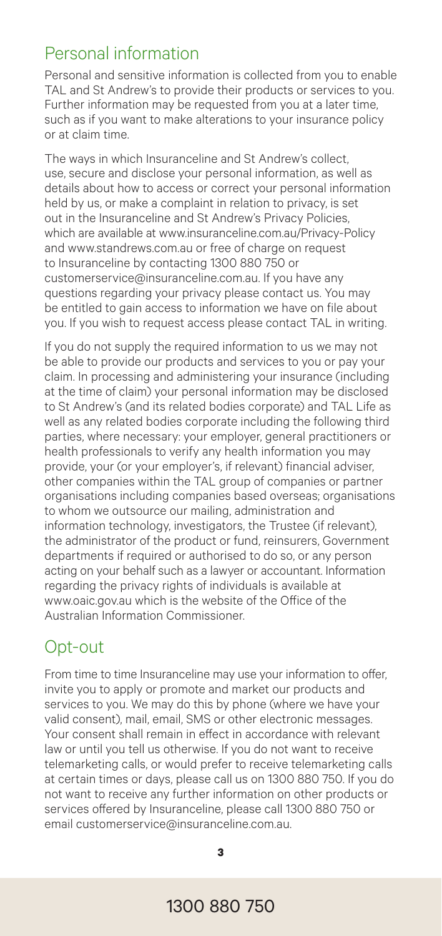## Personal information

Personal and sensitive information is collected from you to enable TAL and St Andrew's to provide their products or services to you. Further information may be requested from you at a later time, such as if you want to make alterations to your insurance policy or at claim time.

The ways in which Insuranceline and St Andrew's collect, use, secure and disclose your personal information, as well as details about how to access or correct your personal information held by us, or make a complaint in relation to privacy, is set out in the Insuranceline and St Andrew's Privacy Policies, which are available at www.insuranceline.com.au/Privacy-Policy and www.standrews.com.au or free of charge on request to Insuranceline by contacting 1300 880 750 or customerservice@insuranceline.com.au. If you have any questions regarding your privacy please contact us. You may be entitled to gain access to information we have on file about you. If you wish to request access please contact TAL in writing.

If you do not supply the required information to us we may not be able to provide our products and services to you or pay your claim. In processing and administering your insurance (including at the time of claim) your personal information may be disclosed to St Andrew's (and its related bodies corporate) and TAL Life as well as any related bodies corporate including the following third parties, where necessary: your employer, general practitioners or health professionals to verify any health information you may provide, your (or your employer's, if relevant) financial adviser, other companies within the TAL group of companies or partner organisations including companies based overseas; organisations to whom we outsource our mailing, administration and information technology, investigators, the Trustee (if relevant), the administrator of the product or fund, reinsurers, Government departments if required or authorised to do so, or any person acting on your behalf such as a lawyer or accountant. Information regarding the privacy rights of individuals is available at www.oaic.gov.au which is the website of the Office of the Australian Information Commissioner.

## Opt-out

From time to time Insuranceline may use your information to offer, invite you to apply or promote and market our products and services to you. We may do this by phone (where we have your valid consent), mail, email, SMS or other electronic messages. Your consent shall remain in effect in accordance with relevant law or until you tell us otherwise. If you do not want to receive telemarketing calls, or would prefer to receive telemarketing calls at certain times or days, please call us on 1300 880 750. If you do not want to receive any further information on other products or services offered by Insuranceline, please call 1300 880 750 or email customerservice@insuranceline.com.au.

**3**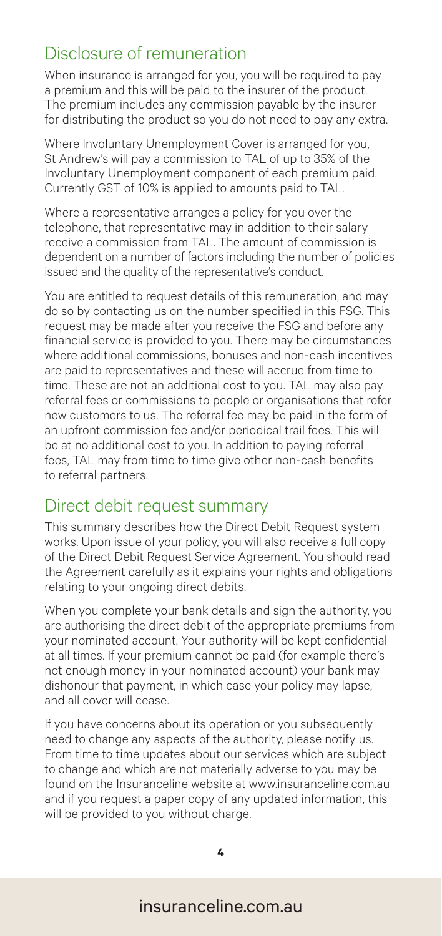## Disclosure of remuneration

When insurance is arranged for you, you will be required to pay a premium and this will be paid to the insurer of the product. The premium includes any commission payable by the insurer for distributing the product so you do not need to pay any extra.

Where Involuntary Unemployment Cover is arranged for you, St Andrew's will pay a commission to TAL of up to 35% of the Involuntary Unemployment component of each premium paid. Currently GST of 10% is applied to amounts paid to TAL.

Where a representative arranges a policy for you over the telephone, that representative may in addition to their salary receive a commission from TAL. The amount of commission is dependent on a number of factors including the number of policies issued and the quality of the representative's conduct.

You are entitled to request details of this remuneration, and may do so by contacting us on the number specified in this FSG. This request may be made after you receive the FSG and before any financial service is provided to you. There may be circumstances where additional commissions, bonuses and non-cash incentives are paid to representatives and these will accrue from time to time. These are not an additional cost to you. TAL may also pay referral fees or commissions to people or organisations that refer new customers to us. The referral fee may be paid in the form of an upfront commission fee and/or periodical trail fees. This will be at no additional cost to you. In addition to paying referral fees, TAL may from time to time give other non-cash benefits to referral partners.

#### Direct debit request summary

This summary describes how the Direct Debit Request system works. Upon issue of your policy, you will also receive a full copy of the Direct Debit Request Service Agreement. You should read the Agreement carefully as it explains your rights and obligations relating to your ongoing direct debits.

When you complete your bank details and sign the authority, you are authorising the direct debit of the appropriate premiums from your nominated account. Your authority will be kept confidential at all times. If your premium cannot be paid (for example there's not enough money in your nominated account) your bank may dishonour that payment, in which case your policy may lapse, and all cover will cease.

If you have concerns about its operation or you subsequently need to change any aspects of the authority, please notify us. From time to time updates about our services which are subject to change and which are not materially adverse to you may be found on the Insuranceline website at www.insuranceline.com.au and if you request a paper copy of any updated information, this will be provided to you without charge.